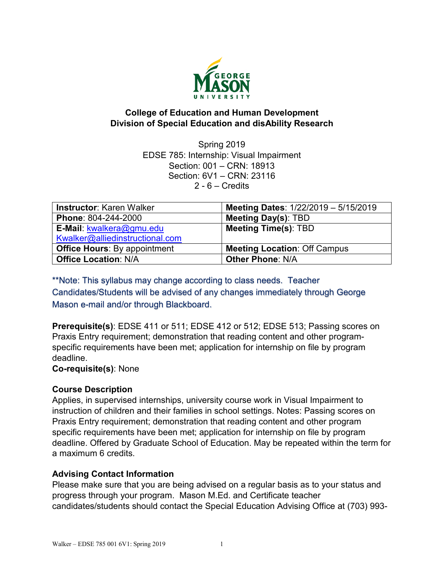

# **College of Education and Human Development Division of Special Education and disAbility Research**

Spring 2019 EDSE 785: Internship: Visual Impairment Section: 001 – CRN: 18913 Section: 6V1 – CRN: 23116  $2 - 6 -$  Credits

| <b>Instructor: Karen Walker</b>     | Meeting Dates: 1/22/2019 - 5/15/2019 |
|-------------------------------------|--------------------------------------|
| Phone: 804-244-2000                 | <b>Meeting Day(s): TBD</b>           |
| E-Mail: kwalkera@gmu.edu            | <b>Meeting Time(s): TBD</b>          |
| Kwalker@alliedinstructional.com     |                                      |
| <b>Office Hours: By appointment</b> | <b>Meeting Location: Off Campus</b>  |
| <b>Office Location: N/A</b>         | <b>Other Phone: N/A</b>              |

\*\*Note: This syllabus may change according to class needs. Teacher Candidates/Students will be advised of any changes immediately through George Mason e-mail and/or through Blackboard.

**Prerequisite(s)**: EDSE 411 or 511; EDSE 412 or 512; EDSE 513; Passing scores on Praxis Entry requirement; demonstration that reading content and other programspecific requirements have been met; application for internship on file by program deadline.

**Co-requisite(s)**: None

### **Course Description**

Applies, in supervised internships, university course work in Visual Impairment to instruction of children and their families in school settings. Notes: Passing scores on Praxis Entry requirement; demonstration that reading content and other program specific requirements have been met; application for internship on file by program deadline. Offered by [Graduate School of Education.](https://catalog.gmu.edu/colleges-schools/education-human-development/graduate-education/) May be repeated within the term for a maximum 6 credits.

# **Advising Contact Information**

Please make sure that you are being advised on a regular basis as to your status and progress through your program. Mason M.Ed. and Certificate teacher candidates/students should contact the Special Education Advising Office at (703) 993-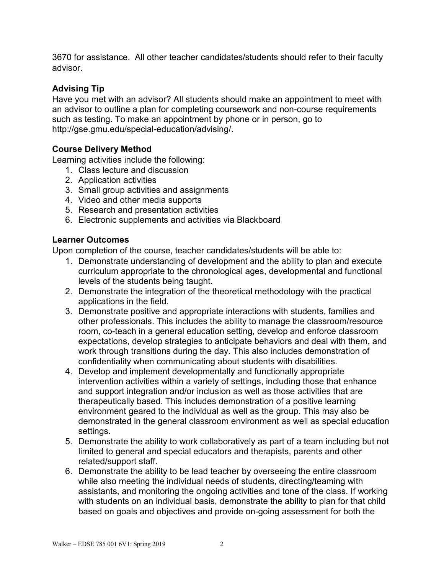3670 for assistance. All other teacher candidates/students should refer to their faculty advisor.

# **Advising Tip**

Have you met with an advisor? All students should make an appointment to meet with an advisor to outline a plan for completing coursework and non-course requirements such as testing. To make an appointment by phone or in person, go to http://gse.gmu.edu/special-education/advising/.

# **Course Delivery Method**

Learning activities include the following:

- 1. Class lecture and discussion
- 2. Application activities
- 3. Small group activities and assignments
- 4. Video and other media supports
- 5. Research and presentation activities
- 6. Electronic supplements and activities via Blackboard

## **Learner Outcomes**

Upon completion of the course, teacher candidates/students will be able to:

- 1. Demonstrate understanding of development and the ability to plan and execute curriculum appropriate to the chronological ages, developmental and functional levels of the students being taught.
- 2. Demonstrate the integration of the theoretical methodology with the practical applications in the field.
- 3. Demonstrate positive and appropriate interactions with students, families and other professionals. This includes the ability to manage the classroom/resource room, co-teach in a general education setting, develop and enforce classroom expectations, develop strategies to anticipate behaviors and deal with them, and work through transitions during the day. This also includes demonstration of confidentiality when communicating about students with disabilities.
- 4. Develop and implement developmentally and functionally appropriate intervention activities within a variety of settings, including those that enhance and support integration and/or inclusion as well as those activities that are therapeutically based. This includes demonstration of a positive learning environment geared to the individual as well as the group. This may also be demonstrated in the general classroom environment as well as special education settings.
- 5. Demonstrate the ability to work collaboratively as part of a team including but not limited to general and special educators and therapists, parents and other related/support staff.
- 6. Demonstrate the ability to be lead teacher by overseeing the entire classroom while also meeting the individual needs of students, directing/teaming with assistants, and monitoring the ongoing activities and tone of the class. If working with students on an individual basis, demonstrate the ability to plan for that child based on goals and objectives and provide on-going assessment for both the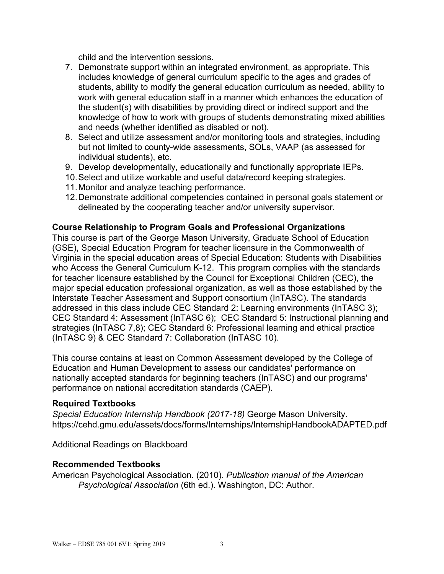child and the intervention sessions.

- 7. Demonstrate support within an integrated environment, as appropriate. This includes knowledge of general curriculum specific to the ages and grades of students, ability to modify the general education curriculum as needed, ability to work with general education staff in a manner which enhances the education of the student(s) with disabilities by providing direct or indirect support and the knowledge of how to work with groups of students demonstrating mixed abilities and needs (whether identified as disabled or not).
- 8. Select and utilize assessment and/or monitoring tools and strategies, including but not limited to county-wide assessments, SOLs, VAAP (as assessed for individual students), etc.
- 9. Develop developmentally, educationally and functionally appropriate IEPs.
- 10.Select and utilize workable and useful data/record keeping strategies.
- 11.Monitor and analyze teaching performance.
- 12.Demonstrate additional competencies contained in personal goals statement or delineated by the cooperating teacher and/or university supervisor.

#### **Course Relationship to Program Goals and Professional Organizations**

This course is part of the George Mason University, Graduate School of Education (GSE), Special Education Program for teacher licensure in the Commonwealth of Virginia in the special education areas of Special Education: Students with Disabilities who Access the General Curriculum K-12. This program complies with the standards for teacher licensure established by the Council for Exceptional Children (CEC), the major special education professional organization, as well as those established by the Interstate Teacher Assessment and Support consortium (InTASC). The standards addressed in this class include CEC Standard 2: Learning environments (InTASC 3); CEC Standard 4: Assessment (InTASC 6); CEC Standard 5: Instructional planning and strategies (InTASC 7,8); CEC Standard 6: Professional learning and ethical practice (InTASC 9) & CEC Standard 7: Collaboration (InTASC 10).

This course contains at least on Common Assessment developed by the College of Education and Human Development to assess our candidates' performance on nationally accepted standards for beginning teachers (InTASC) and our programs' performance on national accreditation standards (CAEP).

#### **Required Textbooks**

*Special Education Internship Handbook (2017-18)* George Mason University. https://cehd.gmu.edu/assets/docs/forms/Internships/InternshipHandbookADAPTED.pdf

Additional Readings on Blackboard

#### **Recommended Textbooks**

American Psychological Association*.* (2010). *Publication manual of the American Psychological Association* (6th ed.). Washington, DC: Author.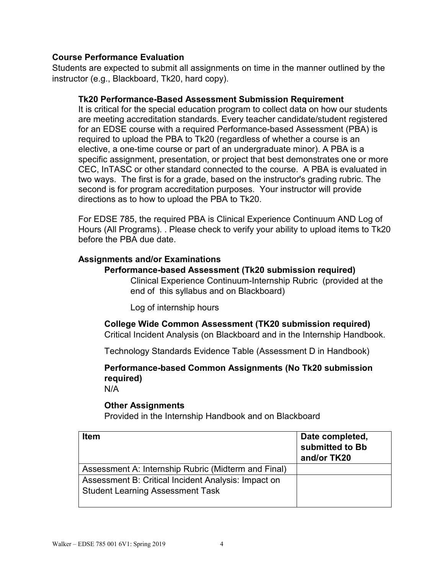### **Course Performance Evaluation**

Students are expected to submit all assignments on time in the manner outlined by the instructor (e.g., Blackboard, Tk20, hard copy).

### **Tk20 Performance-Based Assessment Submission Requirement**

It is critical for the special education program to collect data on how our students are meeting accreditation standards. Every teacher candidate/student registered for an EDSE course with a required Performance-based Assessment (PBA) is required to upload the PBA to Tk20 (regardless of whether a course is an elective, a one-time course or part of an undergraduate minor). A PBA is a specific assignment, presentation, or project that best demonstrates one or more CEC, InTASC or other standard connected to the course. A PBA is evaluated in two ways. The first is for a grade, based on the instructor's grading rubric. The second is for program accreditation purposes. Your instructor will provide directions as to how to upload the PBA to Tk20.

For EDSE 785, the required PBA is Clinical Experience Continuum AND Log of Hours (All Programs). . Please check to verify your ability to upload items to Tk20 before the PBA due date.

### **Assignments and/or Examinations**

#### **Performance-based Assessment (Tk20 submission required)**

Clinical Experience Continuum-Internship Rubric (provided at the end of this syllabus and on Blackboard)

Log of internship hours

**College Wide Common Assessment (TK20 submission required)** Critical Incident Analysis (on Blackboard and in the Internship Handbook.

Technology Standards Evidence Table (Assessment D in Handbook)

# **Performance-based Common Assignments (No Tk20 submission required)**

N/A

### **Other Assignments**

Provided in the Internship Handbook and on Blackboard

| <b>Item</b>                                         | Date completed,<br>submitted to Bb<br>and/or TK20 |
|-----------------------------------------------------|---------------------------------------------------|
| Assessment A: Internship Rubric (Midterm and Final) |                                                   |
| Assessment B: Critical Incident Analysis: Impact on |                                                   |
| <b>Student Learning Assessment Task</b>             |                                                   |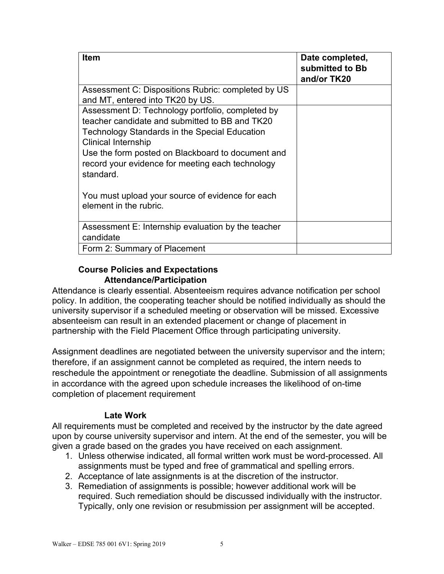| <b>Item</b>                                                                                                                                                                                                                                                                                                                                                                           | Date completed,<br>submitted to Bb<br>and/or TK20 |
|---------------------------------------------------------------------------------------------------------------------------------------------------------------------------------------------------------------------------------------------------------------------------------------------------------------------------------------------------------------------------------------|---------------------------------------------------|
| Assessment C: Dispositions Rubric: completed by US<br>and MT, entered into TK20 by US.                                                                                                                                                                                                                                                                                                |                                                   |
| Assessment D: Technology portfolio, completed by<br>teacher candidate and submitted to BB and TK20<br>Technology Standards in the Special Education<br><b>Clinical Internship</b><br>Use the form posted on Blackboard to document and<br>record your evidence for meeting each technology<br>standard.<br>You must upload your source of evidence for each<br>element in the rubric. |                                                   |
| Assessment E: Internship evaluation by the teacher<br>candidate                                                                                                                                                                                                                                                                                                                       |                                                   |
| Form 2: Summary of Placement                                                                                                                                                                                                                                                                                                                                                          |                                                   |

## **Course Policies and Expectations Attendance/Participation**

Attendance is clearly essential. Absenteeism requires advance notification per school policy. In addition, the cooperating teacher should be notified individually as should the university supervisor if a scheduled meeting or observation will be missed. Excessive absenteeism can result in an extended placement or change of placement in partnership with the Field Placement Office through participating university.

Assignment deadlines are negotiated between the university supervisor and the intern; therefore, if an assignment cannot be completed as required, the intern needs to reschedule the appointment or renegotiate the deadline. Submission of all assignments in accordance with the agreed upon schedule increases the likelihood of on-time completion of placement requirement

# **Late Work**

All requirements must be completed and received by the instructor by the date agreed upon by course university supervisor and intern. At the end of the semester, you will be given a grade based on the grades you have received on each assignment.

- 1. Unless otherwise indicated, all formal written work must be word-processed. All assignments must be typed and free of grammatical and spelling errors.
- 2. Acceptance of late assignments is at the discretion of the instructor.
- 3. Remediation of assignments is possible; however additional work will be required. Such remediation should be discussed individually with the instructor. Typically, only one revision or resubmission per assignment will be accepted.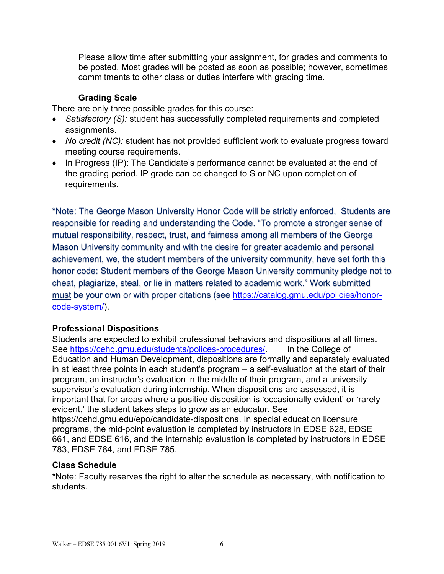Please allow time after submitting your assignment, for grades and comments to be posted. Most grades will be posted as soon as possible; however, sometimes commitments to other class or duties interfere with grading time.

### **Grading Scale**

There are only three possible grades for this course:

- *Satisfactory (S):* student has successfully completed requirements and completed assignments.
- *No credit (NC):* student has not provided sufficient work to evaluate progress toward meeting course requirements.
- In Progress (IP): The Candidate's performance cannot be evaluated at the end of the grading period. IP grade can be changed to S or NC upon completion of requirements.

\*Note: The George Mason University Honor Code will be strictly enforced. Students are responsible for reading and understanding the Code. "To promote a stronger sense of mutual responsibility, respect, trust, and fairness among all members of the George Mason University community and with the desire for greater academic and personal achievement, we, the student members of the university community, have set forth this honor code: Student members of the George Mason University community pledge not to cheat, plagiarize, steal, or lie in matters related to academic work." Work submitted must be your own or with proper citations (see [https://catalog.gmu.edu/policies/honor](https://catalog.gmu.edu/policies/honor-code-system/)[code-system/\)](https://catalog.gmu.edu/policies/honor-code-system/).

### **Professional Dispositions**

Students are expected to exhibit professional behaviors and dispositions at all times. See [https://cehd.gmu.edu/students/polices-procedures/.](https://cehd.gmu.edu/students/polices-procedures/) In the College of Education and Human Development, dispositions are formally and separately evaluated in at least three points in each student's program – a self-evaluation at the start of their program, an instructor's evaluation in the middle of their program, and a university supervisor's evaluation during internship. When dispositions are assessed, it is important that for areas where a positive disposition is 'occasionally evident' or 'rarely evident,' the student takes steps to grow as an educator. See https://cehd.gmu.edu/epo/candidate-dispositions. In special education licensure programs, the mid-point evaluation is completed by instructors in EDSE 628, EDSE 661, and EDSE 616, and the internship evaluation is completed by instructors in EDSE 783, EDSE 784, and EDSE 785.

### **Class Schedule**

\*Note: Faculty reserves the right to alter the schedule as necessary, with notification to students.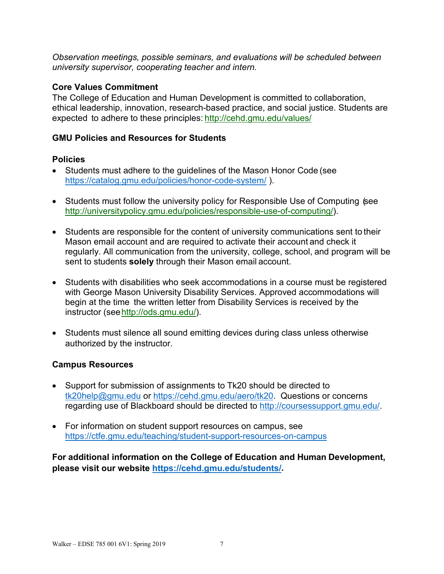*Observation meetings, possible seminars, and evaluations will be scheduled between university supervisor, cooperating teacher and intern.*

### **Core Values Commitment**

The College of Education and Human Development is committed to collaboration, ethical leadership, innovation, research-based practice, and social justice. Students are expected to adhere to these principles: <http://cehd.gmu.edu/values/>

## **GMU Policies and Resources for Students**

## **Policies**

- Students must adhere to the guidelines of the Mason Honor Code (see <https://catalog.gmu.edu/policies/honor-code-system/> ).
- Students must follow the university policy for Responsible Use of Computing (see [http://universitypolicy.gmu.edu/policies/responsible-use-of-computing/\)](http://universitypolicy.gmu.edu/policies/responsible-use-of-computing/).
- Students are responsible for the content of university communications sent to their Mason email account and are required to activate their account and check it regularly. All communication from the university, college, school, and program will be sent to students **solely** through their Mason email account.
- Students with disabilities who seek accommodations in a course must be registered with George Mason University Disability Services. Approved accommodations will begin at the time the written letter from Disability Services is received by the instructor (se[ehttp://ods.gmu.edu/\)](http://ods.gmu.edu/).
- Students must silence all sound emitting devices during class unless otherwise authorized by the instructor.

# **Campus Resources**

- Support for submission of assignments to Tk20 should be directed to [tk20help@gmu.edu](mailto:tk20help@gmu.edu) or [https://cehd.gmu.edu/aero/tk20.](https://cehd.gmu.edu/aero/tk20) Questions or concerns regarding use of Blackboard should be directed to [http://coursessupport.gmu.edu/.](http://coursessupport.gmu.edu/)
- For information on student support resources on campus, see <https://ctfe.gmu.edu/teaching/student-support-resources-on-campus>

**For additional information on the College of Education and Human Development, please visit our website [https://cehd.gmu.edu/students/.](https://cehd.gmu.edu/students/)**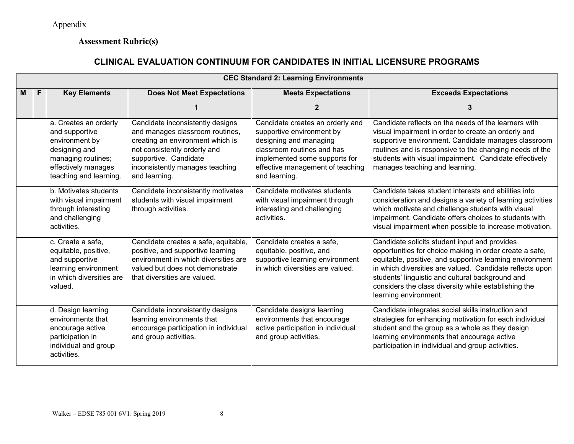Appendix

# **Assessment Rubric(s)**

# **CLINICAL EVALUATION CONTINUUM FOR CANDIDATES IN INITIAL LICENSURE PROGRAMS**

|   |   |                                                                                                                                                   |                                                                                                                                                                                                                      | <b>CEC Standard 2: Learning Environments</b>                                                                                                                                                                |                                                                                                                                                                                                                                                                                                                                                                       |
|---|---|---------------------------------------------------------------------------------------------------------------------------------------------------|----------------------------------------------------------------------------------------------------------------------------------------------------------------------------------------------------------------------|-------------------------------------------------------------------------------------------------------------------------------------------------------------------------------------------------------------|-----------------------------------------------------------------------------------------------------------------------------------------------------------------------------------------------------------------------------------------------------------------------------------------------------------------------------------------------------------------------|
| М | F | <b>Key Elements</b>                                                                                                                               | <b>Does Not Meet Expectations</b>                                                                                                                                                                                    | <b>Meets Expectations</b>                                                                                                                                                                                   | <b>Exceeds Expectations</b>                                                                                                                                                                                                                                                                                                                                           |
|   |   |                                                                                                                                                   |                                                                                                                                                                                                                      |                                                                                                                                                                                                             |                                                                                                                                                                                                                                                                                                                                                                       |
|   |   | a. Creates an orderly<br>and supportive<br>environment by<br>designing and<br>managing routines;<br>effectively manages<br>teaching and learning. | Candidate inconsistently designs<br>and manages classroom routines,<br>creating an environment which is<br>not consistently orderly and<br>supportive. Candidate<br>inconsistently manages teaching<br>and learning. | Candidate creates an orderly and<br>supportive environment by<br>designing and managing<br>classroom routines and has<br>implemented some supports for<br>effective management of teaching<br>and learning. | Candidate reflects on the needs of the learners with<br>visual impairment in order to create an orderly and<br>supportive environment. Candidate manages classroom<br>routines and is responsive to the changing needs of the<br>students with visual impairment. Candidate effectively<br>manages teaching and learning.                                             |
|   |   | b. Motivates students<br>with visual impairment<br>through interesting<br>and challenging<br>activities.                                          | Candidate inconsistently motivates<br>students with visual impairment<br>through activities.                                                                                                                         | Candidate motivates students<br>with visual impairment through<br>interesting and challenging<br>activities.                                                                                                | Candidate takes student interests and abilities into<br>consideration and designs a variety of learning activities<br>which motivate and challenge students with visual<br>impairment. Candidate offers choices to students with<br>visual impairment when possible to increase motivation.                                                                           |
|   |   | c. Create a safe,<br>equitable, positive,<br>and supportive<br>learning environment<br>in which diversities are<br>valued.                        | Candidate creates a safe, equitable,<br>positive, and supportive learning<br>environment in which diversities are<br>valued but does not demonstrate<br>that diversities are valued.                                 | Candidate creates a safe,<br>equitable, positive, and<br>supportive learning environment<br>in which diversities are valued.                                                                                | Candidate solicits student input and provides<br>opportunities for choice making in order create a safe,<br>equitable, positive, and supportive learning environment<br>in which diversities are valued. Candidate reflects upon<br>students' linguistic and cultural background and<br>considers the class diversity while establishing the<br>learning environment. |
|   |   | d. Design learning<br>environments that<br>encourage active<br>participation in<br>individual and group<br>activities.                            | Candidate inconsistently designs<br>learning environments that<br>encourage participation in individual<br>and group activities.                                                                                     | Candidate designs learning<br>environments that encourage<br>active participation in individual<br>and group activities.                                                                                    | Candidate integrates social skills instruction and<br>strategies for enhancing motivation for each individual<br>student and the group as a whole as they design<br>learning environments that encourage active<br>participation in individual and group activities.                                                                                                  |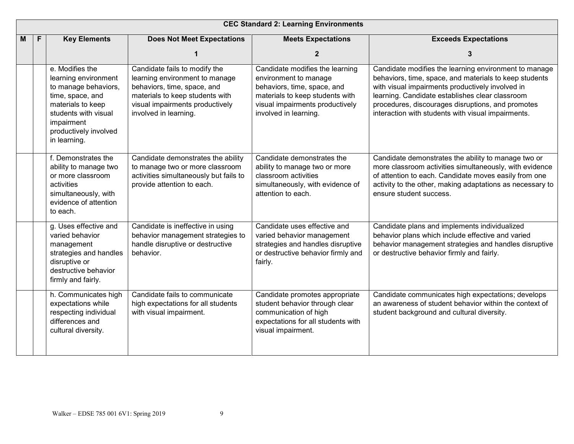|   |   |                                                                                                                                                                                         |                                                                                                                                                                                               | <b>CEC Standard 2: Learning Environments</b>                                                                                                                                           |                                                                                                                                                                                                                                                                                                                                   |
|---|---|-----------------------------------------------------------------------------------------------------------------------------------------------------------------------------------------|-----------------------------------------------------------------------------------------------------------------------------------------------------------------------------------------------|----------------------------------------------------------------------------------------------------------------------------------------------------------------------------------------|-----------------------------------------------------------------------------------------------------------------------------------------------------------------------------------------------------------------------------------------------------------------------------------------------------------------------------------|
| M | F | <b>Key Elements</b>                                                                                                                                                                     | <b>Does Not Meet Expectations</b>                                                                                                                                                             | <b>Meets Expectations</b>                                                                                                                                                              | <b>Exceeds Expectations</b>                                                                                                                                                                                                                                                                                                       |
|   |   |                                                                                                                                                                                         |                                                                                                                                                                                               | $\overline{2}$                                                                                                                                                                         | 3                                                                                                                                                                                                                                                                                                                                 |
|   |   | e. Modifies the<br>learning environment<br>to manage behaviors,<br>time, space, and<br>materials to keep<br>students with visual<br>impairment<br>productively involved<br>in learning. | Candidate fails to modify the<br>learning environment to manage<br>behaviors, time, space, and<br>materials to keep students with<br>visual impairments productively<br>involved in learning. | Candidate modifies the learning<br>environment to manage<br>behaviors, time, space, and<br>materials to keep students with<br>visual impairments productively<br>involved in learning. | Candidate modifies the learning environment to manage<br>behaviors, time, space, and materials to keep students<br>with visual impairments productively involved in<br>learning. Candidate establishes clear classroom<br>procedures, discourages disruptions, and promotes<br>interaction with students with visual impairments. |
|   |   | f. Demonstrates the<br>ability to manage two<br>or more classroom<br>activities<br>simultaneously, with<br>evidence of attention<br>to each.                                            | Candidate demonstrates the ability<br>to manage two or more classroom<br>activities simultaneously but fails to<br>provide attention to each.                                                 | Candidate demonstrates the<br>ability to manage two or more<br>classroom activities<br>simultaneously, with evidence of<br>attention to each.                                          | Candidate demonstrates the ability to manage two or<br>more classroom activities simultaneously, with evidence<br>of attention to each. Candidate moves easily from one<br>activity to the other, making adaptations as necessary to<br>ensure student success.                                                                   |
|   |   | g. Uses effective and<br>varied behavior<br>management<br>strategies and handles<br>disruptive or<br>destructive behavior<br>firmly and fairly.                                         | Candidate is ineffective in using<br>behavior management strategies to<br>handle disruptive or destructive<br>behavior.                                                                       | Candidate uses effective and<br>varied behavior management<br>strategies and handles disruptive<br>or destructive behavior firmly and<br>fairly.                                       | Candidate plans and implements individualized<br>behavior plans which include effective and varied<br>behavior management strategies and handles disruptive<br>or destructive behavior firmly and fairly.                                                                                                                         |
|   |   | h. Communicates high<br>expectations while<br>respecting individual<br>differences and<br>cultural diversity.                                                                           | Candidate fails to communicate<br>high expectations for all students<br>with visual impairment.                                                                                               | Candidate promotes appropriate<br>student behavior through clear<br>communication of high<br>expectations for all students with<br>visual impairment.                                  | Candidate communicates high expectations; develops<br>an awareness of student behavior within the context of<br>student background and cultural diversity.                                                                                                                                                                        |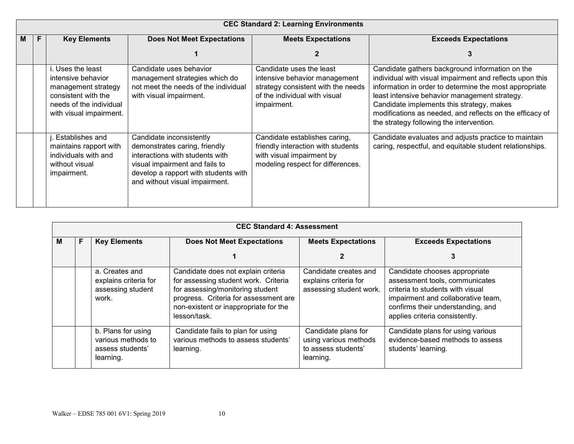|   | <b>CEC Standard 2: Learning Environments</b> |                                                                                                                                             |                                                                                                                                                                                                          |                                                                                                                                                 |                                                                                                                                                                                                                                                                                                                                                                             |  |
|---|----------------------------------------------|---------------------------------------------------------------------------------------------------------------------------------------------|----------------------------------------------------------------------------------------------------------------------------------------------------------------------------------------------------------|-------------------------------------------------------------------------------------------------------------------------------------------------|-----------------------------------------------------------------------------------------------------------------------------------------------------------------------------------------------------------------------------------------------------------------------------------------------------------------------------------------------------------------------------|--|
| M |                                              | <b>Key Elements</b>                                                                                                                         | <b>Does Not Meet Expectations</b>                                                                                                                                                                        | <b>Meets Expectations</b>                                                                                                                       | <b>Exceeds Expectations</b>                                                                                                                                                                                                                                                                                                                                                 |  |
|   |                                              |                                                                                                                                             |                                                                                                                                                                                                          |                                                                                                                                                 |                                                                                                                                                                                                                                                                                                                                                                             |  |
|   |                                              | i. Uses the least<br>intensive behavior<br>management strategy<br>consistent with the<br>needs of the individual<br>with visual impairment. | Candidate uses behavior<br>management strategies which do<br>not meet the needs of the individual<br>with visual impairment.                                                                             | Candidate uses the least<br>intensive behavior management<br>strategy consistent with the needs<br>of the individual with visual<br>impairment. | Candidate gathers background information on the<br>individual with visual impairment and reflects upon this<br>information in order to determine the most appropriate<br>least intensive behavior management strategy.<br>Candidate implements this strategy, makes<br>modifications as needed, and reflects on the efficacy of<br>the strategy following the intervention. |  |
|   |                                              | . Establishes and<br>maintains rapport with<br>individuals with and<br>without visual<br>impairment.                                        | Candidate inconsistently<br>demonstrates caring, friendly<br>interactions with students with<br>visual impairment and fails to<br>develop a rapport with students with<br>and without visual impairment. | Candidate establishes caring,<br>friendly interaction with students<br>with visual impairment by<br>modeling respect for differences.           | Candidate evaluates and adjusts practice to maintain<br>caring, respectful, and equitable student relationships.                                                                                                                                                                                                                                                            |  |

|   | <b>CEC Standard 4: Assessment</b> |                                                                           |                                                                                                                                                                                                                   |                                                                                  |                                                                                                                                                                                                                  |  |  |
|---|-----------------------------------|---------------------------------------------------------------------------|-------------------------------------------------------------------------------------------------------------------------------------------------------------------------------------------------------------------|----------------------------------------------------------------------------------|------------------------------------------------------------------------------------------------------------------------------------------------------------------------------------------------------------------|--|--|
| M | F                                 | <b>Key Elements</b>                                                       | <b>Does Not Meet Expectations</b>                                                                                                                                                                                 | <b>Meets Expectations</b>                                                        | <b>Exceeds Expectations</b>                                                                                                                                                                                      |  |  |
|   |                                   |                                                                           |                                                                                                                                                                                                                   |                                                                                  |                                                                                                                                                                                                                  |  |  |
|   |                                   | a. Creates and<br>explains criteria for<br>assessing student<br>work.     | Candidate does not explain criteria<br>for assessing student work. Criteria<br>for assessing/monitoring student<br>progress. Criteria for assessment are<br>non-existent or inappropriate for the<br>lesson/task. | Candidate creates and<br>explains criteria for<br>assessing student work.        | Candidate chooses appropriate<br>assessment tools, communicates<br>criteria to students with visual<br>impairment and collaborative team,<br>confirms their understanding, and<br>applies criteria consistently. |  |  |
|   |                                   | b. Plans for using<br>various methods to<br>assess students'<br>learning. | Candidate fails to plan for using<br>various methods to assess students'<br>learning.                                                                                                                             | Candidate plans for<br>using various methods<br>to assess students'<br>learning. | Candidate plans for using various<br>evidence-based methods to assess<br>students' learning.                                                                                                                     |  |  |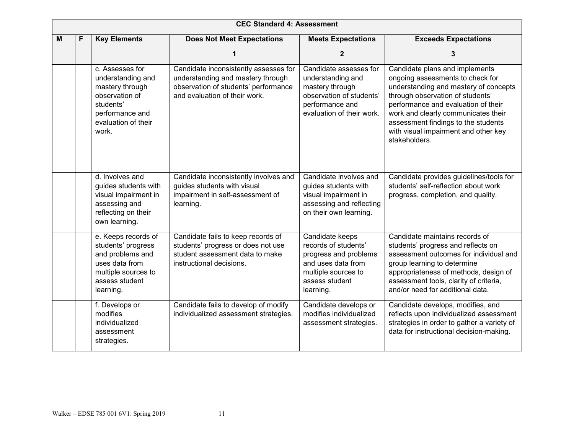|   |                                                                                                                                                                                                                                                                                  |                                                                                                                                           | <b>CEC Standard 4: Assessment</b>                                                                                                                   |                                                                                                                                                                                                                                                                      |                                                                                                                                                                                                                                                                                                                               |
|---|----------------------------------------------------------------------------------------------------------------------------------------------------------------------------------------------------------------------------------------------------------------------------------|-------------------------------------------------------------------------------------------------------------------------------------------|-----------------------------------------------------------------------------------------------------------------------------------------------------|----------------------------------------------------------------------------------------------------------------------------------------------------------------------------------------------------------------------------------------------------------------------|-------------------------------------------------------------------------------------------------------------------------------------------------------------------------------------------------------------------------------------------------------------------------------------------------------------------------------|
| M | F                                                                                                                                                                                                                                                                                | <b>Key Elements</b>                                                                                                                       | <b>Does Not Meet Expectations</b>                                                                                                                   | <b>Meets Expectations</b>                                                                                                                                                                                                                                            | <b>Exceeds Expectations</b>                                                                                                                                                                                                                                                                                                   |
|   |                                                                                                                                                                                                                                                                                  |                                                                                                                                           |                                                                                                                                                     | $\mathbf{2}$                                                                                                                                                                                                                                                         | 3                                                                                                                                                                                                                                                                                                                             |
|   |                                                                                                                                                                                                                                                                                  | c. Assesses for<br>understanding and<br>mastery through<br>observation of<br>students'<br>performance and<br>evaluation of their<br>work. | Candidate inconsistently assesses for<br>understanding and mastery through<br>observation of students' performance<br>and evaluation of their work. | Candidate assesses for<br>understanding and<br>mastery through<br>observation of students'<br>performance and<br>evaluation of their work.                                                                                                                           | Candidate plans and implements<br>ongoing assessments to check for<br>understanding and mastery of concepts<br>through observation of students'<br>performance and evaluation of their<br>work and clearly communicates their<br>assessment findings to the students<br>with visual impairment and other key<br>stakeholders. |
|   |                                                                                                                                                                                                                                                                                  | d. Involves and<br>guides students with<br>visual impairment in<br>assessing and<br>reflecting on their<br>own learning.                  | Candidate inconsistently involves and<br>guides students with visual<br>impairment in self-assessment of<br>learning.                               | Candidate involves and<br>guides students with<br>visual impairment in<br>assessing and reflecting<br>on their own learning.                                                                                                                                         | Candidate provides guidelines/tools for<br>students' self-reflection about work<br>progress, completion, and quality.                                                                                                                                                                                                         |
|   | e. Keeps records of<br>Candidate fails to keep records of<br>students' progress<br>students' progress or does not use<br>and problems and<br>student assessment data to make<br>uses data from<br>instructional decisions.<br>multiple sources to<br>assess student<br>learning. |                                                                                                                                           | Candidate keeps<br>records of students'<br>progress and problems<br>and uses data from<br>multiple sources to<br>assess student<br>learning.        | Candidate maintains records of<br>students' progress and reflects on<br>assessment outcomes for individual and<br>group learning to determine<br>appropriateness of methods, design of<br>assessment tools, clarity of criteria,<br>and/or need for additional data. |                                                                                                                                                                                                                                                                                                                               |
|   |                                                                                                                                                                                                                                                                                  | f. Develops or<br>modifies<br>individualized<br>assessment<br>strategies.                                                                 | Candidate fails to develop of modify<br>individualized assessment strategies.                                                                       | Candidate develops or<br>modifies individualized<br>assessment strategies.                                                                                                                                                                                           | Candidate develops, modifies, and<br>reflects upon individualized assessment<br>strategies in order to gather a variety of<br>data for instructional decision-making.                                                                                                                                                         |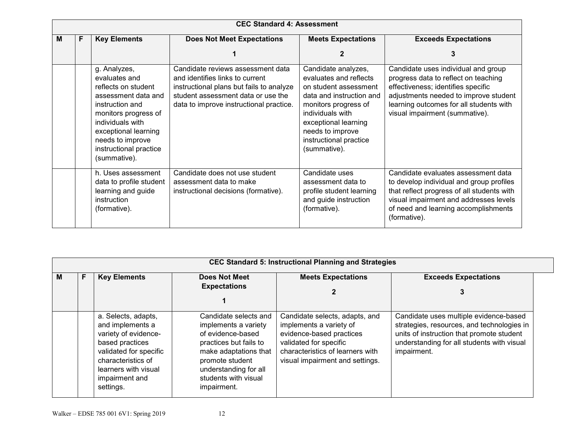|   | <b>CEC Standard 4: Assessment</b> |                                                                                                                                                                                                                                  |                                                                                                                                                                                                   |                                                                                                                                                                                                                                      |                                                                                                                                                                                                                                         |  |  |
|---|-----------------------------------|----------------------------------------------------------------------------------------------------------------------------------------------------------------------------------------------------------------------------------|---------------------------------------------------------------------------------------------------------------------------------------------------------------------------------------------------|--------------------------------------------------------------------------------------------------------------------------------------------------------------------------------------------------------------------------------------|-----------------------------------------------------------------------------------------------------------------------------------------------------------------------------------------------------------------------------------------|--|--|
| м | F.                                | <b>Key Elements</b>                                                                                                                                                                                                              | <b>Does Not Meet Expectations</b>                                                                                                                                                                 | <b>Meets Expectations</b>                                                                                                                                                                                                            | <b>Exceeds Expectations</b>                                                                                                                                                                                                             |  |  |
|   |                                   |                                                                                                                                                                                                                                  |                                                                                                                                                                                                   | 2                                                                                                                                                                                                                                    |                                                                                                                                                                                                                                         |  |  |
|   |                                   | g. Analyzes,<br>evaluates and<br>reflects on student<br>assessment data and<br>instruction and<br>monitors progress of<br>individuals with<br>exceptional learning<br>needs to improve<br>instructional practice<br>(summative). | Candidate reviews assessment data<br>and identifies links to current<br>instructional plans but fails to analyze<br>student assessment data or use the<br>data to improve instructional practice. | Candidate analyzes,<br>evaluates and reflects<br>on student assessment<br>data and instruction and<br>monitors progress of<br>individuals with<br>exceptional learning<br>needs to improve<br>instructional practice<br>(summative). | Candidate uses individual and group<br>progress data to reflect on teaching<br>effectiveness; identifies specific<br>adjustments needed to improve student<br>learning outcomes for all students with<br>visual impairment (summative). |  |  |
|   |                                   | h. Uses assessment<br>data to profile student<br>learning and guide<br>instruction<br>(formative).                                                                                                                               | Candidate does not use student<br>assessment data to make<br>instructional decisions (formative).                                                                                                 | Candidate uses<br>assessment data to<br>profile student learning<br>and guide instruction<br>(formative).                                                                                                                            | Candidate evaluates assessment data<br>to develop individual and group profiles<br>that reflect progress of all students with<br>visual impairment and addresses levels<br>of need and learning accomplishments<br>(formative).         |  |  |

| м | F | <b>Key Elements</b>                                                                                                                                                                       | Does Not Meet<br><b>Expectations</b>                                                                                                                                                                     | <b>Meets Expectations</b>                                                                                                                                                              | <b>Exceeds Expectations</b><br>3                                                                                                                                                               |
|---|---|-------------------------------------------------------------------------------------------------------------------------------------------------------------------------------------------|----------------------------------------------------------------------------------------------------------------------------------------------------------------------------------------------------------|----------------------------------------------------------------------------------------------------------------------------------------------------------------------------------------|------------------------------------------------------------------------------------------------------------------------------------------------------------------------------------------------|
|   |   |                                                                                                                                                                                           |                                                                                                                                                                                                          |                                                                                                                                                                                        |                                                                                                                                                                                                |
|   |   | a. Selects, adapts,<br>and implements a<br>variety of evidence-<br>based practices<br>validated for specific<br>characteristics of<br>learners with visual<br>impairment and<br>settings. | Candidate selects and<br>implements a variety<br>of evidence-based<br>practices but fails to<br>make adaptations that<br>promote student<br>understanding for all<br>students with visual<br>impairment. | Candidate selects, adapts, and<br>implements a variety of<br>evidence-based practices<br>validated for specific<br>characteristics of learners with<br>visual impairment and settings. | Candidate uses multiple evidence-based<br>strategies, resources, and technologies in<br>units of instruction that promote student<br>understanding for all students with visual<br>impairment. |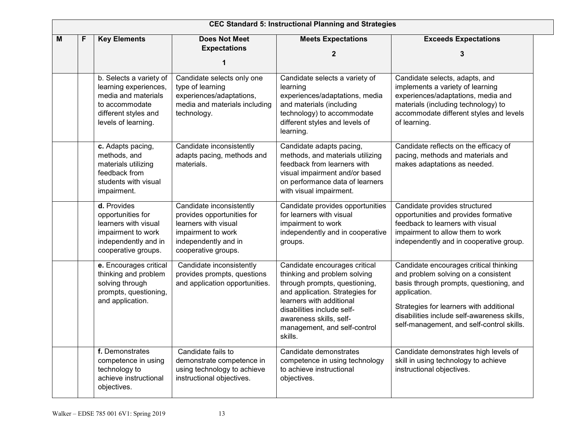| <b>CEC Standard 5: Instructional Planning and Strategies</b> |   |                                                                                                                                          |                                                                                                                                                     |                                                                                                                                                                                                                                                                   |                                                                                                                                                                                                                                                                                 |  |
|--------------------------------------------------------------|---|------------------------------------------------------------------------------------------------------------------------------------------|-----------------------------------------------------------------------------------------------------------------------------------------------------|-------------------------------------------------------------------------------------------------------------------------------------------------------------------------------------------------------------------------------------------------------------------|---------------------------------------------------------------------------------------------------------------------------------------------------------------------------------------------------------------------------------------------------------------------------------|--|
| M                                                            | F | <b>Key Elements</b>                                                                                                                      | <b>Does Not Meet</b><br><b>Expectations</b><br>1                                                                                                    | <b>Meets Expectations</b><br>$\overline{2}$                                                                                                                                                                                                                       | <b>Exceeds Expectations</b><br>3                                                                                                                                                                                                                                                |  |
|                                                              |   | b. Selects a variety of<br>learning experiences,<br>media and materials<br>to accommodate<br>different styles and<br>levels of learning. | Candidate selects only one<br>type of learning<br>experiences/adaptations,<br>media and materials including<br>technology.                          | Candidate selects a variety of<br>learning<br>experiences/adaptations, media<br>and materials (including<br>technology) to accommodate<br>different styles and levels of<br>learning.                                                                             | Candidate selects, adapts, and<br>implements a variety of learning<br>experiences/adaptations, media and<br>materials (including technology) to<br>accommodate different styles and levels<br>of learning.                                                                      |  |
|                                                              |   | c. Adapts pacing,<br>methods, and<br>materials utilizing<br>feedback from<br>students with visual<br>impairment.                         | Candidate inconsistently<br>adapts pacing, methods and<br>materials.                                                                                | Candidate adapts pacing,<br>methods, and materials utilizing<br>feedback from learners with<br>visual impairment and/or based<br>on performance data of learners<br>with visual impairment.                                                                       | Candidate reflects on the efficacy of<br>pacing, methods and materials and<br>makes adaptations as needed.                                                                                                                                                                      |  |
|                                                              |   | d. Provides<br>opportunities for<br>learners with visual<br>impairment to work<br>independently and in<br>cooperative groups.            | Candidate inconsistently<br>provides opportunities for<br>learners with visual<br>impairment to work<br>independently and in<br>cooperative groups. | Candidate provides opportunities<br>for learners with visual<br>impairment to work<br>independently and in cooperative<br>groups.                                                                                                                                 | Candidate provides structured<br>opportunities and provides formative<br>feedback to learners with visual<br>impairment to allow them to work<br>independently and in cooperative group.                                                                                        |  |
|                                                              |   | e. Encourages critical<br>thinking and problem<br>solving through<br>prompts, questioning,<br>and application.                           | Candidate inconsistently<br>provides prompts, questions<br>and application opportunities.                                                           | Candidate encourages critical<br>thinking and problem solving<br>through prompts, questioning,<br>and application. Strategies for<br>learners with additional<br>disabilities include self-<br>awareness skills, self-<br>management, and self-control<br>skills. | Candidate encourages critical thinking<br>and problem solving on a consistent<br>basis through prompts, questioning, and<br>application.<br>Strategies for learners with additional<br>disabilities include self-awareness skills,<br>self-management, and self-control skills. |  |
|                                                              |   | f. Demonstrates<br>competence in using<br>technology to<br>achieve instructional<br>objectives.                                          | Candidate fails to<br>demonstrate competence in<br>using technology to achieve<br>instructional objectives.                                         | Candidate demonstrates<br>competence in using technology<br>to achieve instructional<br>objectives.                                                                                                                                                               | Candidate demonstrates high levels of<br>skill in using technology to achieve<br>instructional objectives.                                                                                                                                                                      |  |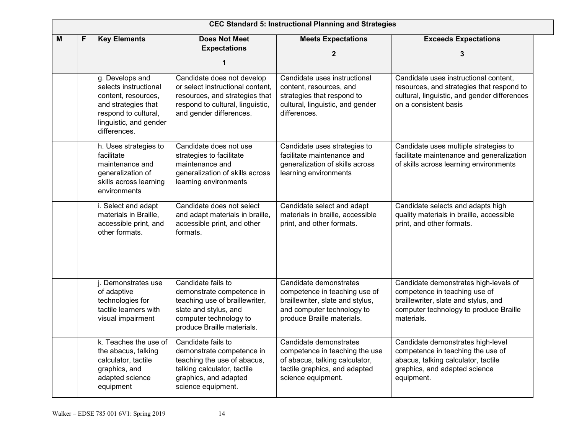| <b>CEC Standard 5: Instructional Planning and Strategies</b> |   |                                                                                                                                                          |                                                                                                                                                                    |                                                                                                                                                         |                                                                                                                                                                        |  |
|--------------------------------------------------------------|---|----------------------------------------------------------------------------------------------------------------------------------------------------------|--------------------------------------------------------------------------------------------------------------------------------------------------------------------|---------------------------------------------------------------------------------------------------------------------------------------------------------|------------------------------------------------------------------------------------------------------------------------------------------------------------------------|--|
| Μ                                                            | F | <b>Key Elements</b>                                                                                                                                      | <b>Does Not Meet</b><br><b>Expectations</b><br>1                                                                                                                   | <b>Meets Expectations</b><br>$\mathbf{2}$                                                                                                               | <b>Exceeds Expectations</b><br>3                                                                                                                                       |  |
|                                                              |   | g. Develops and<br>selects instructional<br>content, resources,<br>and strategies that<br>respond to cultural,<br>linguistic, and gender<br>differences. | Candidate does not develop<br>or select instructional content,<br>resources, and strategies that<br>respond to cultural, linguistic,<br>and gender differences.    | Candidate uses instructional<br>content, resources, and<br>strategies that respond to<br>cultural, linguistic, and gender<br>differences.               | Candidate uses instructional content,<br>resources, and strategies that respond to<br>cultural, linguistic, and gender differences<br>on a consistent basis            |  |
|                                                              |   | h. Uses strategies to<br>facilitate<br>maintenance and<br>generalization of<br>skills across learning<br>environments                                    | Candidate does not use<br>strategies to facilitate<br>maintenance and<br>generalization of skills across<br>learning environments                                  | Candidate uses strategies to<br>facilitate maintenance and<br>generalization of skills across<br>learning environments                                  | Candidate uses multiple strategies to<br>facilitate maintenance and generalization<br>of skills across learning environments                                           |  |
|                                                              |   | i. Select and adapt<br>materials in Braille,<br>accessible print, and<br>other formats.                                                                  | Candidate does not select<br>and adapt materials in braille,<br>accessible print, and other<br>formats.                                                            | Candidate select and adapt<br>materials in braille, accessible<br>print, and other formats.                                                             | Candidate selects and adapts high<br>quality materials in braille, accessible<br>print, and other formats.                                                             |  |
|                                                              |   | j. Demonstrates use<br>of adaptive<br>technologies for<br>tactile learners with<br>visual impairment                                                     | Candidate fails to<br>demonstrate competence in<br>teaching use of braillewriter,<br>slate and stylus, and<br>computer technology to<br>produce Braille materials. | Candidate demonstrates<br>competence in teaching use of<br>braillewriter, slate and stylus,<br>and computer technology to<br>produce Braille materials. | Candidate demonstrates high-levels of<br>competence in teaching use of<br>braillewriter, slate and stylus, and<br>computer technology to produce Braille<br>materials. |  |
|                                                              |   | k. Teaches the use of<br>the abacus, talking<br>calculator, tactile<br>graphics, and<br>adapted science<br>equipment                                     | Candidate fails to<br>demonstrate competence in<br>teaching the use of abacus,<br>talking calculator, tactile<br>graphics, and adapted<br>science equipment.       | Candidate demonstrates<br>competence in teaching the use<br>of abacus, talking calculator,<br>tactile graphics, and adapted<br>science equipment.       | Candidate demonstrates high-level<br>competence in teaching the use of<br>abacus, talking calculator, tactile<br>graphics, and adapted science<br>equipment.           |  |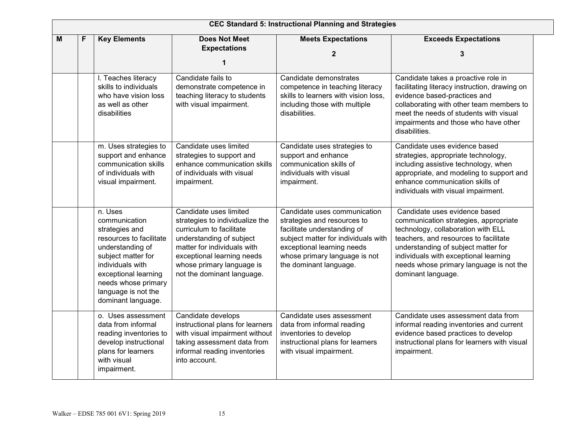|   | <b>CEC Standard 5: Instructional Planning and Strategies</b> |                                                                                                                                                                                                                                 |                                                                                                                                                                                                                                           |                                                                                                                                                                                                                            |                                                                                                                                                                                                                                                                                                        |  |  |  |  |  |
|---|--------------------------------------------------------------|---------------------------------------------------------------------------------------------------------------------------------------------------------------------------------------------------------------------------------|-------------------------------------------------------------------------------------------------------------------------------------------------------------------------------------------------------------------------------------------|----------------------------------------------------------------------------------------------------------------------------------------------------------------------------------------------------------------------------|--------------------------------------------------------------------------------------------------------------------------------------------------------------------------------------------------------------------------------------------------------------------------------------------------------|--|--|--|--|--|
| M |                                                              | <b>Key Elements</b>                                                                                                                                                                                                             | <b>Does Not Meet</b><br><b>Expectations</b><br>1                                                                                                                                                                                          | <b>Meets Expectations</b><br>$\mathbf{2}$                                                                                                                                                                                  | <b>Exceeds Expectations</b><br>З                                                                                                                                                                                                                                                                       |  |  |  |  |  |
|   |                                                              | I. Teaches literacy<br>skills to individuals<br>who have vision loss<br>as well as other<br>disabilities                                                                                                                        | Candidate fails to<br>demonstrate competence in<br>teaching literacy to students<br>with visual impairment.                                                                                                                               | Candidate demonstrates<br>competence in teaching literacy<br>skills to learners with vision loss,<br>including those with multiple<br>disabilities.                                                                        | Candidate takes a proactive role in<br>facilitating literacy instruction, drawing on<br>evidence based-practices and<br>collaborating with other team members to<br>meet the needs of students with visual<br>impairments and those who have other<br>disabilities.                                    |  |  |  |  |  |
|   |                                                              | m. Uses strategies to<br>support and enhance<br>communication skills<br>of individuals with<br>visual impairment.                                                                                                               | Candidate uses limited<br>strategies to support and<br>enhance communication skills<br>of individuals with visual<br>impairment.                                                                                                          | Candidate uses strategies to<br>support and enhance<br>communication skills of<br>individuals with visual<br>impairment.                                                                                                   | Candidate uses evidence based<br>strategies, appropriate technology,<br>including assistive technology, when<br>appropriate, and modeling to support and<br>enhance communication skills of<br>individuals with visual impairment.                                                                     |  |  |  |  |  |
|   |                                                              | n. Uses<br>communication<br>strategies and<br>resources to facilitate<br>understanding of<br>subject matter for<br>individuals with<br>exceptional learning<br>needs whose primary<br>language is not the<br>dominant language. | Candidate uses limited<br>strategies to individualize the<br>curriculum to facilitate<br>understanding of subject<br>matter for individuals with<br>exceptional learning needs<br>whose primary language is<br>not the dominant language. | Candidate uses communication<br>strategies and resources to<br>facilitate understanding of<br>subject matter for individuals with<br>exceptional learning needs<br>whose primary language is not<br>the dominant language. | Candidate uses evidence based<br>communication strategies, appropriate<br>technology, collaboration with ELL<br>teachers, and resources to facilitate<br>understanding of subject matter for<br>individuals with exceptional learning<br>needs whose primary language is not the<br>dominant language. |  |  |  |  |  |
|   |                                                              | o. Uses assessment<br>data from informal<br>reading inventories to<br>develop instructional<br>plans for learners<br>with visual<br>impairment.                                                                                 | Candidate develops<br>instructional plans for learners<br>with visual impairment without<br>taking assessment data from<br>informal reading inventories<br>into account.                                                                  | Candidate uses assessment<br>data from informal reading<br>inventories to develop<br>instructional plans for learners<br>with visual impairment.                                                                           | Candidate uses assessment data from<br>informal reading inventories and current<br>evidence based practices to develop<br>instructional plans for learners with visual<br>impairment.                                                                                                                  |  |  |  |  |  |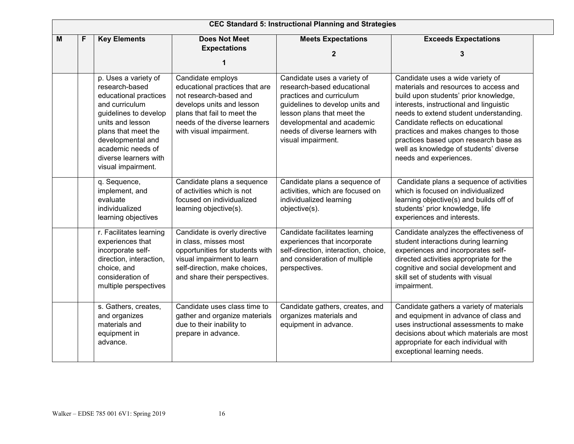| <b>CEC Standard 5: Instructional Planning and Strategies</b> |  |                                                                                                                                                                                                                                                |                                                                                                                                                                                                       |                                                                                                                                                                                                                                              |                                                                                                                                                                                                                                                                                                                                                                                                   |  |  |  |
|--------------------------------------------------------------|--|------------------------------------------------------------------------------------------------------------------------------------------------------------------------------------------------------------------------------------------------|-------------------------------------------------------------------------------------------------------------------------------------------------------------------------------------------------------|----------------------------------------------------------------------------------------------------------------------------------------------------------------------------------------------------------------------------------------------|---------------------------------------------------------------------------------------------------------------------------------------------------------------------------------------------------------------------------------------------------------------------------------------------------------------------------------------------------------------------------------------------------|--|--|--|
| M<br>F                                                       |  | <b>Key Elements</b>                                                                                                                                                                                                                            | <b>Does Not Meet</b><br><b>Expectations</b>                                                                                                                                                           | <b>Meets Expectations</b><br>2                                                                                                                                                                                                               | <b>Exceeds Expectations</b><br>3                                                                                                                                                                                                                                                                                                                                                                  |  |  |  |
|                                                              |  | p. Uses a variety of<br>research-based<br>educational practices<br>and curriculum<br>guidelines to develop<br>units and lesson<br>plans that meet the<br>developmental and<br>academic needs of<br>diverse learners with<br>visual impairment. | Candidate employs<br>educational practices that are<br>not research-based and<br>develops units and lesson<br>plans that fail to meet the<br>needs of the diverse learners<br>with visual impairment. | Candidate uses a variety of<br>research-based educational<br>practices and curriculum<br>guidelines to develop units and<br>lesson plans that meet the<br>developmental and academic<br>needs of diverse learners with<br>visual impairment. | Candidate uses a wide variety of<br>materials and resources to access and<br>build upon students' prior knowledge,<br>interests, instructional and linguistic<br>needs to extend student understanding.<br>Candidate reflects on educational<br>practices and makes changes to those<br>practices based upon research base as<br>well as knowledge of students' diverse<br>needs and experiences. |  |  |  |
|                                                              |  | q. Sequence,<br>implement, and<br>evaluate<br>individualized<br>learning objectives                                                                                                                                                            | Candidate plans a sequence<br>of activities which is not<br>focused on individualized<br>learning objective(s).                                                                                       | Candidate plans a sequence of<br>activities, which are focused on<br>individualized learning<br>objective(s).                                                                                                                                | Candidate plans a sequence of activities<br>which is focused on individualized<br>learning objective(s) and builds off of<br>students' prior knowledge, life<br>experiences and interests.                                                                                                                                                                                                        |  |  |  |
|                                                              |  | r. Facilitates learning<br>experiences that<br>incorporate self-<br>direction, interaction,<br>choice, and<br>consideration of<br>multiple perspectives                                                                                        | Candidate is overly directive<br>in class, misses most<br>opportunities for students with<br>visual impairment to learn<br>self-direction, make choices,<br>and share their perspectives.             | Candidate facilitates learning<br>experiences that incorporate<br>self-direction, interaction, choice,<br>and consideration of multiple<br>perspectives.                                                                                     | Candidate analyzes the effectiveness of<br>student interactions during learning<br>experiences and incorporates self-<br>directed activities appropriate for the<br>cognitive and social development and<br>skill set of students with visual<br>impairment.                                                                                                                                      |  |  |  |
|                                                              |  | s. Gathers, creates,<br>and organizes<br>materials and<br>equipment in<br>advance.                                                                                                                                                             | Candidate uses class time to<br>gather and organize materials<br>due to their inability to<br>prepare in advance.                                                                                     | Candidate gathers, creates, and<br>organizes materials and<br>equipment in advance.                                                                                                                                                          | Candidate gathers a variety of materials<br>and equipment in advance of class and<br>uses instructional assessments to make<br>decisions about which materials are most<br>appropriate for each individual with<br>exceptional learning needs.                                                                                                                                                    |  |  |  |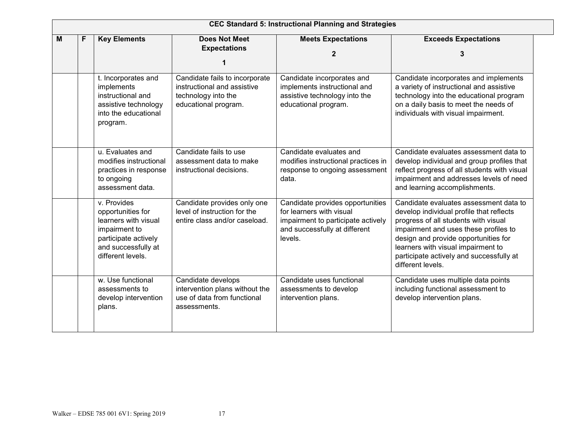|   | <b>CEC Standard 5: Instructional Planning and Strategies</b> |                                                                                                                                               |                                                                                                              |                                                                                                                                                |                                                                                                                                                                                                                                                                                                                    |  |  |  |  |
|---|--------------------------------------------------------------|-----------------------------------------------------------------------------------------------------------------------------------------------|--------------------------------------------------------------------------------------------------------------|------------------------------------------------------------------------------------------------------------------------------------------------|--------------------------------------------------------------------------------------------------------------------------------------------------------------------------------------------------------------------------------------------------------------------------------------------------------------------|--|--|--|--|
| M | F                                                            | <b>Key Elements</b>                                                                                                                           | <b>Does Not Meet</b><br><b>Expectations</b><br>1                                                             | <b>Meets Expectations</b><br>$\mathbf{2}$                                                                                                      | <b>Exceeds Expectations</b><br>3                                                                                                                                                                                                                                                                                   |  |  |  |  |
|   |                                                              | t. Incorporates and<br>implements<br>instructional and<br>assistive technology<br>into the educational<br>program.                            | Candidate fails to incorporate<br>instructional and assistive<br>technology into the<br>educational program. | Candidate incorporates and<br>implements instructional and<br>assistive technology into the<br>educational program.                            | Candidate incorporates and implements<br>a variety of instructional and assistive<br>technology into the educational program<br>on a daily basis to meet the needs of<br>individuals with visual impairment.                                                                                                       |  |  |  |  |
|   |                                                              | u. Evaluates and<br>modifies instructional<br>practices in response<br>to ongoing<br>assessment data.                                         | Candidate fails to use<br>assessment data to make<br>instructional decisions.                                | Candidate evaluates and<br>modifies instructional practices in<br>response to ongoing assessment<br>data.                                      | Candidate evaluates assessment data to<br>develop individual and group profiles that<br>reflect progress of all students with visual<br>impairment and addresses levels of need<br>and learning accomplishments.                                                                                                   |  |  |  |  |
|   |                                                              | v. Provides<br>opportunities for<br>learners with visual<br>impairment to<br>participate actively<br>and successfully at<br>different levels. | Candidate provides only one<br>level of instruction for the<br>entire class and/or caseload.                 | Candidate provides opportunities<br>for learners with visual<br>impairment to participate actively<br>and successfully at different<br>levels. | Candidate evaluates assessment data to<br>develop individual profile that reflects<br>progress of all students with visual<br>impairment and uses these profiles to<br>design and provide opportunities for<br>learners with visual impairment to<br>participate actively and successfully at<br>different levels. |  |  |  |  |
|   |                                                              | w. Use functional<br>assessments to<br>develop intervention<br>plans.                                                                         | Candidate develops<br>intervention plans without the<br>use of data from functional<br>assessments.          | Candidate uses functional<br>assessments to develop<br>intervention plans.                                                                     | Candidate uses multiple data points<br>including functional assessment to<br>develop intervention plans.                                                                                                                                                                                                           |  |  |  |  |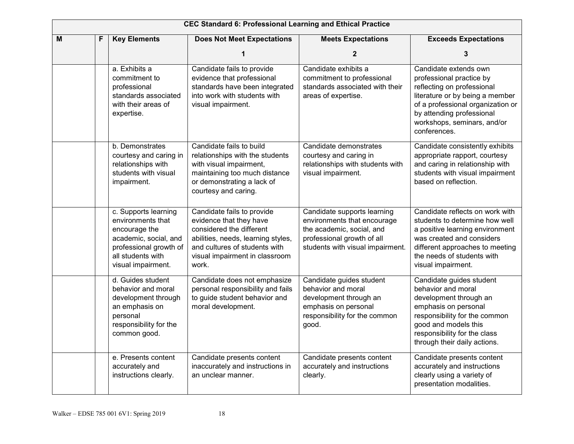| <b>CEC Standard 6: Professional Learning and Ethical Practice</b> |                                                                                                                                                          |                                                                                                                                                                                                     |                                                                                                                                                           |                                                                                                                                                                                                                                     |  |  |  |
|-------------------------------------------------------------------|----------------------------------------------------------------------------------------------------------------------------------------------------------|-----------------------------------------------------------------------------------------------------------------------------------------------------------------------------------------------------|-----------------------------------------------------------------------------------------------------------------------------------------------------------|-------------------------------------------------------------------------------------------------------------------------------------------------------------------------------------------------------------------------------------|--|--|--|
| M                                                                 | <b>Key Elements</b><br>F                                                                                                                                 | <b>Does Not Meet Expectations</b>                                                                                                                                                                   | <b>Meets Expectations</b>                                                                                                                                 | <b>Exceeds Expectations</b>                                                                                                                                                                                                         |  |  |  |
|                                                                   |                                                                                                                                                          | 1                                                                                                                                                                                                   | $\overline{2}$                                                                                                                                            | 3                                                                                                                                                                                                                                   |  |  |  |
|                                                                   | a. Exhibits a<br>commitment to<br>professional<br>standards associated<br>with their areas of<br>expertise.                                              | Candidate fails to provide<br>evidence that professional<br>standards have been integrated<br>into work with students with<br>visual impairment.                                                    | Candidate exhibits a<br>commitment to professional<br>standards associated with their<br>areas of expertise.                                              | Candidate extends own<br>professional practice by<br>reflecting on professional<br>literature or by being a member<br>of a professional organization or<br>by attending professional<br>workshops, seminars, and/or<br>conferences. |  |  |  |
|                                                                   | b. Demonstrates<br>courtesy and caring in<br>relationships with<br>students with visual<br>impairment.                                                   | Candidate fails to build<br>relationships with the students<br>with visual impairment,<br>maintaining too much distance<br>or demonstrating a lack of<br>courtesy and caring.                       | Candidate demonstrates<br>courtesy and caring in<br>relationships with students with<br>visual impairment.                                                | Candidate consistently exhibits<br>appropriate rapport, courtesy<br>and caring in relationship with<br>students with visual impairment<br>based on reflection.                                                                      |  |  |  |
|                                                                   | c. Supports learning<br>environments that<br>encourage the<br>academic, social, and<br>professional growth of<br>all students with<br>visual impairment. | Candidate fails to provide<br>evidence that they have<br>considered the different<br>abilities, needs, learning styles,<br>and cultures of students with<br>visual impairment in classroom<br>work. | Candidate supports learning<br>environments that encourage<br>the academic, social, and<br>professional growth of all<br>students with visual impairment. | Candidate reflects on work with<br>students to determine how well<br>a positive learning environment<br>was created and considers<br>different approaches to meeting<br>the needs of students with<br>visual impairment.            |  |  |  |
|                                                                   | d. Guides student<br>behavior and moral<br>development through<br>an emphasis on<br>personal<br>responsibility for the<br>common good.                   | Candidate does not emphasize<br>personal responsibility and fails<br>to guide student behavior and<br>moral development.                                                                            | Candidate guides student<br>behavior and moral<br>development through an<br>emphasis on personal<br>responsibility for the common<br>good.                | Candidate guides student<br>behavior and moral<br>development through an<br>emphasis on personal<br>responsibility for the common<br>good and models this<br>responsibility for the class<br>through their daily actions.           |  |  |  |
|                                                                   | e. Presents content<br>accurately and<br>instructions clearly.                                                                                           | Candidate presents content<br>inaccurately and instructions in<br>an unclear manner.                                                                                                                | Candidate presents content<br>accurately and instructions<br>clearly.                                                                                     | Candidate presents content<br>accurately and instructions<br>clearly using a variety of<br>presentation modalities.                                                                                                                 |  |  |  |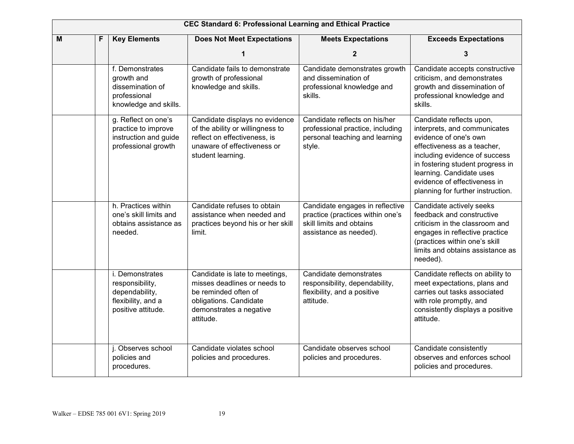|   | <b>CEC Standard 6: Professional Learning and Ethical Practice</b> |                                                                                                  |                                                                                                                                                          |                                                                                                                           |                                                                                                                                                                                                                                                                                        |  |  |  |
|---|-------------------------------------------------------------------|--------------------------------------------------------------------------------------------------|----------------------------------------------------------------------------------------------------------------------------------------------------------|---------------------------------------------------------------------------------------------------------------------------|----------------------------------------------------------------------------------------------------------------------------------------------------------------------------------------------------------------------------------------------------------------------------------------|--|--|--|
| M | F                                                                 | <b>Key Elements</b>                                                                              | <b>Does Not Meet Expectations</b>                                                                                                                        | <b>Meets Expectations</b>                                                                                                 | <b>Exceeds Expectations</b>                                                                                                                                                                                                                                                            |  |  |  |
|   |                                                                   |                                                                                                  |                                                                                                                                                          | $\mathbf{2}$                                                                                                              | 3                                                                                                                                                                                                                                                                                      |  |  |  |
|   |                                                                   | f. Demonstrates<br>growth and<br>dissemination of<br>professional<br>knowledge and skills.       | Candidate fails to demonstrate<br>growth of professional<br>knowledge and skills.                                                                        | Candidate demonstrates growth<br>and dissemination of<br>professional knowledge and<br>skills.                            | Candidate accepts constructive<br>criticism, and demonstrates<br>growth and dissemination of<br>professional knowledge and<br>skills.                                                                                                                                                  |  |  |  |
|   |                                                                   | g. Reflect on one's<br>practice to improve<br>instruction and guide<br>professional growth       | Candidate displays no evidence<br>of the ability or willingness to<br>reflect on effectiveness, is<br>unaware of effectiveness or<br>student learning.   | Candidate reflects on his/her<br>professional practice, including<br>personal teaching and learning<br>style.             | Candidate reflects upon,<br>interprets, and communicates<br>evidence of one's own<br>effectiveness as a teacher,<br>including evidence of success<br>in fostering student progress in<br>learning. Candidate uses<br>evidence of effectiveness in<br>planning for further instruction. |  |  |  |
|   |                                                                   | h. Practices within<br>one's skill limits and<br>obtains assistance as<br>needed.                | Candidate refuses to obtain<br>assistance when needed and<br>practices beyond his or her skill<br>limit.                                                 | Candidate engages in reflective<br>practice (practices within one's<br>skill limits and obtains<br>assistance as needed). | Candidate actively seeks<br>feedback and constructive<br>criticism in the classroom and<br>engages in reflective practice<br>(practices within one's skill<br>limits and obtains assistance as<br>needed).                                                                             |  |  |  |
|   |                                                                   | i. Demonstrates<br>responsibility,<br>dependability,<br>flexibility, and a<br>positive attitude. | Candidate is late to meetings,<br>misses deadlines or needs to<br>be reminded often of<br>obligations. Candidate<br>demonstrates a negative<br>attitude. | Candidate demonstrates<br>responsibility, dependability,<br>flexibility, and a positive<br>attitude.                      | Candidate reflects on ability to<br>meet expectations, plans and<br>carries out tasks associated<br>with role promptly, and<br>consistently displays a positive<br>attitude.                                                                                                           |  |  |  |
|   |                                                                   | j. Observes school<br>policies and<br>procedures.                                                | Candidate violates school<br>policies and procedures.                                                                                                    | Candidate observes school<br>policies and procedures.                                                                     | Candidate consistently<br>observes and enforces school<br>policies and procedures.                                                                                                                                                                                                     |  |  |  |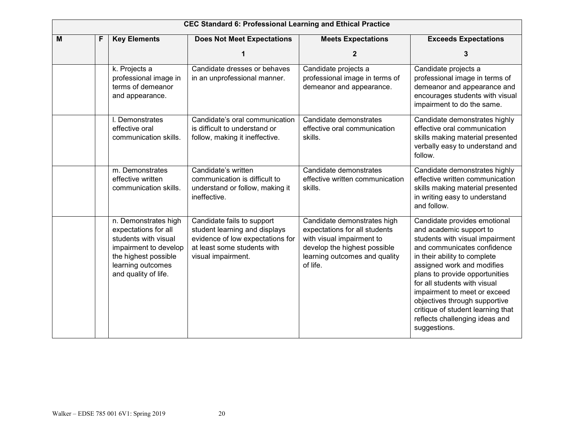|   | <b>CEC Standard 6: Professional Learning and Ethical Practice</b> |                                                                                                                                                                    |                                                                                                                                                      |                                                                                                                                                                        |                                                                                                                                                                                                                                                                                                                                                                                                                   |  |  |  |
|---|-------------------------------------------------------------------|--------------------------------------------------------------------------------------------------------------------------------------------------------------------|------------------------------------------------------------------------------------------------------------------------------------------------------|------------------------------------------------------------------------------------------------------------------------------------------------------------------------|-------------------------------------------------------------------------------------------------------------------------------------------------------------------------------------------------------------------------------------------------------------------------------------------------------------------------------------------------------------------------------------------------------------------|--|--|--|
| M | F                                                                 | <b>Key Elements</b>                                                                                                                                                | <b>Does Not Meet Expectations</b>                                                                                                                    | <b>Meets Expectations</b>                                                                                                                                              | <b>Exceeds Expectations</b>                                                                                                                                                                                                                                                                                                                                                                                       |  |  |  |
|   |                                                                   |                                                                                                                                                                    |                                                                                                                                                      | $\mathbf{2}$                                                                                                                                                           | 3                                                                                                                                                                                                                                                                                                                                                                                                                 |  |  |  |
|   |                                                                   | k. Projects a<br>professional image in<br>terms of demeanor<br>and appearance.                                                                                     | Candidate dresses or behaves<br>in an unprofessional manner.                                                                                         | Candidate projects a<br>professional image in terms of<br>demeanor and appearance.                                                                                     | Candidate projects a<br>professional image in terms of<br>demeanor and appearance and<br>encourages students with visual<br>impairment to do the same.                                                                                                                                                                                                                                                            |  |  |  |
|   |                                                                   | I. Demonstrates<br>effective oral<br>communication skills.                                                                                                         | Candidate's oral communication<br>is difficult to understand or<br>follow, making it ineffective.                                                    | Candidate demonstrates<br>effective oral communication<br>skills.                                                                                                      | Candidate demonstrates highly<br>effective oral communication<br>skills making material presented<br>verbally easy to understand and<br>follow.                                                                                                                                                                                                                                                                   |  |  |  |
|   |                                                                   | m. Demonstrates<br>effective written<br>communication skills.                                                                                                      | Candidate's written<br>communication is difficult to<br>understand or follow, making it<br>ineffective.                                              | Candidate demonstrates<br>effective written communication<br>skills.                                                                                                   | Candidate demonstrates highly<br>effective written communication<br>skills making material presented<br>in writing easy to understand<br>and follow.                                                                                                                                                                                                                                                              |  |  |  |
|   |                                                                   | n. Demonstrates high<br>expectations for all<br>students with visual<br>impairment to develop<br>the highest possible<br>learning outcomes<br>and quality of life. | Candidate fails to support<br>student learning and displays<br>evidence of low expectations for<br>at least some students with<br>visual impairment. | Candidate demonstrates high<br>expectations for all students<br>with visual impairment to<br>develop the highest possible<br>learning outcomes and quality<br>of life. | Candidate provides emotional<br>and academic support to<br>students with visual impairment<br>and communicates confidence<br>in their ability to complete<br>assigned work and modifies<br>plans to provide opportunities<br>for all students with visual<br>impairment to meet or exceed<br>objectives through supportive<br>critique of student learning that<br>reflects challenging ideas and<br>suggestions. |  |  |  |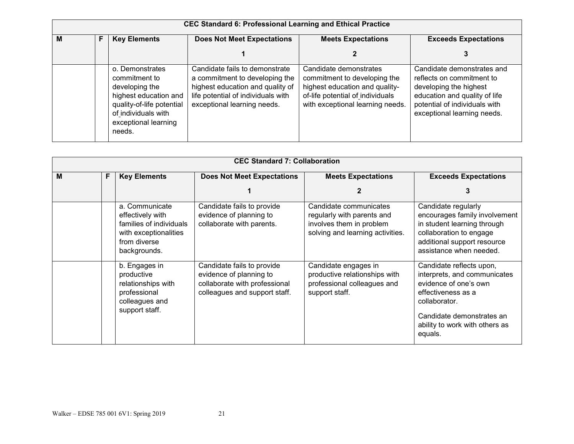| <b>CEC Standard 6: Professional Learning and Ethical Practice</b> |   |                                                                                                                                                                   |                                                                                                                                                                           |                                                                                                                                                                  |                                                                                                                                                                                    |  |
|-------------------------------------------------------------------|---|-------------------------------------------------------------------------------------------------------------------------------------------------------------------|---------------------------------------------------------------------------------------------------------------------------------------------------------------------------|------------------------------------------------------------------------------------------------------------------------------------------------------------------|------------------------------------------------------------------------------------------------------------------------------------------------------------------------------------|--|
| M                                                                 | F | <b>Key Elements</b>                                                                                                                                               | <b>Does Not Meet Expectations</b>                                                                                                                                         | <b>Meets Expectations</b>                                                                                                                                        | <b>Exceeds Expectations</b>                                                                                                                                                        |  |
|                                                                   |   |                                                                                                                                                                   |                                                                                                                                                                           |                                                                                                                                                                  | 3                                                                                                                                                                                  |  |
|                                                                   |   | o. Demonstrates<br>commitment to<br>developing the<br>highest education and<br>quality-of-life potential<br>of individuals with<br>exceptional learning<br>needs. | Candidate fails to demonstrate<br>a commitment to developing the<br>highest education and quality of<br>life potential of individuals with<br>exceptional learning needs. | Candidate demonstrates<br>commitment to developing the<br>highest education and quality-<br>of-life potential of individuals<br>with exceptional learning needs. | Candidate demonstrates and<br>reflects on commitment to<br>developing the highest<br>education and quality of life<br>potential of individuals with<br>exceptional learning needs. |  |

| <b>CEC Standard 7: Collaboration</b> |   |                                                                                                                        |                                                                                                                         |                                                                                                                      |                                                                                                                                                                                                    |  |
|--------------------------------------|---|------------------------------------------------------------------------------------------------------------------------|-------------------------------------------------------------------------------------------------------------------------|----------------------------------------------------------------------------------------------------------------------|----------------------------------------------------------------------------------------------------------------------------------------------------------------------------------------------------|--|
| M                                    | F | <b>Key Elements</b>                                                                                                    | <b>Does Not Meet Expectations</b>                                                                                       | <b>Meets Expectations</b>                                                                                            | <b>Exceeds Expectations</b>                                                                                                                                                                        |  |
|                                      |   |                                                                                                                        |                                                                                                                         |                                                                                                                      | 3                                                                                                                                                                                                  |  |
|                                      |   | a. Communicate<br>effectively with<br>families of individuals<br>with exceptionalities<br>from diverse<br>backgrounds. | Candidate fails to provide<br>evidence of planning to<br>collaborate with parents.                                      | Candidate communicates<br>regularly with parents and<br>involves them in problem<br>solving and learning activities. | Candidate regularly<br>encourages family involvement<br>in student learning through<br>collaboration to engage<br>additional support resource<br>assistance when needed.                           |  |
|                                      |   | b. Engages in<br>productive<br>relationships with<br>professional<br>colleagues and<br>support staff.                  | Candidate fails to provide<br>evidence of planning to<br>collaborate with professional<br>colleagues and support staff. | Candidate engages in<br>productive relationships with<br>professional colleagues and<br>support staff.               | Candidate reflects upon,<br>interprets, and communicates<br>evidence of one's own<br>effectiveness as a<br>collaborator.<br>Candidate demonstrates an<br>ability to work with others as<br>equals. |  |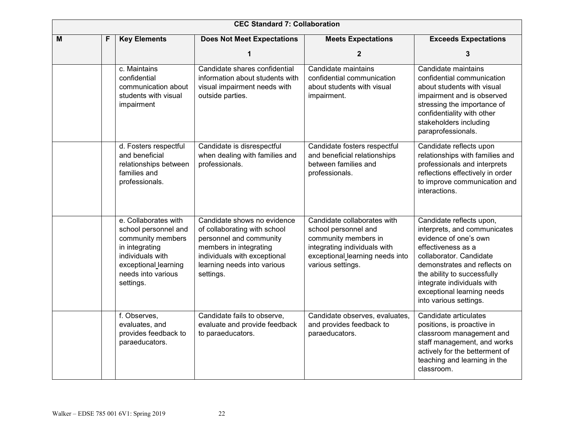|   | <b>CEC Standard 7: Collaboration</b> |                                                                                                                                                                    |                                                                                                                                                                                              |                                                                                                                                                                     |                                                                                                                                                                                                                                                                                         |  |  |
|---|--------------------------------------|--------------------------------------------------------------------------------------------------------------------------------------------------------------------|----------------------------------------------------------------------------------------------------------------------------------------------------------------------------------------------|---------------------------------------------------------------------------------------------------------------------------------------------------------------------|-----------------------------------------------------------------------------------------------------------------------------------------------------------------------------------------------------------------------------------------------------------------------------------------|--|--|
| M | F                                    | <b>Key Elements</b>                                                                                                                                                | <b>Does Not Meet Expectations</b>                                                                                                                                                            | <b>Meets Expectations</b>                                                                                                                                           | <b>Exceeds Expectations</b>                                                                                                                                                                                                                                                             |  |  |
|   |                                      |                                                                                                                                                                    |                                                                                                                                                                                              | 2                                                                                                                                                                   | 3                                                                                                                                                                                                                                                                                       |  |  |
|   |                                      | c. Maintains<br>confidential<br>communication about<br>students with visual<br>impairment                                                                          | Candidate shares confidential<br>information about students with<br>visual impairment needs with<br>outside parties.                                                                         | Candidate maintains<br>confidential communication<br>about students with visual<br>impairment.                                                                      | Candidate maintains<br>confidential communication<br>about students with visual<br>impairment and is observed<br>stressing the importance of<br>confidentiality with other<br>stakeholders including<br>paraprofessionals.                                                              |  |  |
|   |                                      | d. Fosters respectful<br>and beneficial<br>relationships between<br>families and<br>professionals.                                                                 | Candidate is disrespectful<br>when dealing with families and<br>professionals.                                                                                                               | Candidate fosters respectful<br>and beneficial relationships<br>between families and<br>professionals.                                                              | Candidate reflects upon<br>relationships with families and<br>professionals and interprets<br>reflections effectively in order<br>to improve communication and<br>interactions.                                                                                                         |  |  |
|   |                                      | e. Collaborates with<br>school personnel and<br>community members<br>in integrating<br>individuals with<br>exceptional_learning<br>needs into various<br>settings. | Candidate shows no evidence<br>of collaborating with school<br>personnel and community<br>members in integrating<br>individuals with exceptional<br>learning needs into various<br>settings. | Candidate collaborates with<br>school personnel and<br>community members in<br>integrating individuals with<br>exceptional learning needs into<br>various settings. | Candidate reflects upon,<br>interprets, and communicates<br>evidence of one's own<br>effectiveness as a<br>collaborator. Candidate<br>demonstrates and reflects on<br>the ability to successfully<br>integrate individuals with<br>exceptional learning needs<br>into various settings. |  |  |
|   |                                      | f. Observes,<br>evaluates, and<br>provides feedback to<br>paraeducators.                                                                                           | Candidate fails to observe,<br>evaluate and provide feedback<br>to paraeducators.                                                                                                            | Candidate observes, evaluates,<br>and provides feedback to<br>paraeducators.                                                                                        | Candidate articulates<br>positions, is proactive in<br>classroom management and<br>staff management, and works<br>actively for the betterment of<br>teaching and learning in the<br>classroom.                                                                                          |  |  |